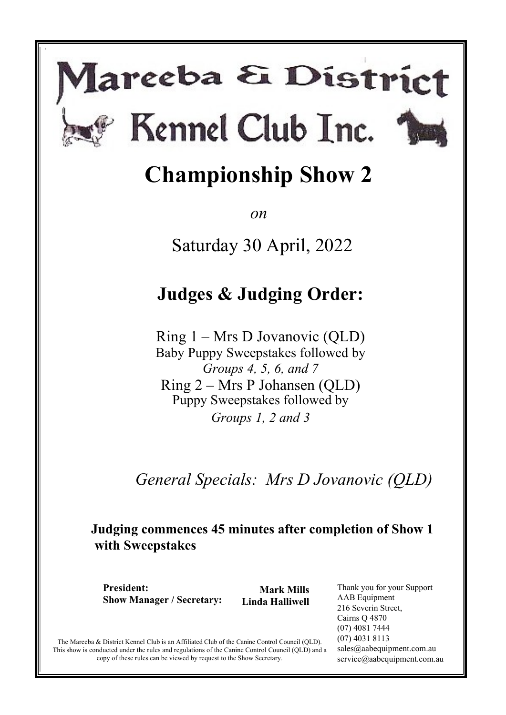# lareeba & District Kennel Club Inc.

s



*on* 

Saturday 30 April, 2022

# **Judges & Judging Order:**

Ring 1 – Mrs D Jovanovic (QLD) Baby Puppy Sweepstakes followed by *Groups 4, 5, 6, and 7* Ring 2 – Mrs P Johansen (QLD) Puppy Sweepstakes followed by *Groups 1, 2 and 3*

*General Specials: Mrs D Jovanovic (QLD)*

### **Judging commences 45 minutes after completion of Show 1 with Sweepstakes**

**President: Show Manager / Secretary:** 

**Mark Mills Linda Halliwell**  Thank you for your Support AAB Equipment 216 Severin Street, Cairns Q 4870 (07) 4081 7444 (07) 4031 8113 sales@aabequipment.com.au service@aabequipment.com.au

The Mareeba & District Kennel Club is an Affiliated Club of the Canine Control Council (QLD). This show is conducted under the rules and regulations of the Canine Control Council (QLD) and a copy of these rules can be viewed by request to the Show Secretary.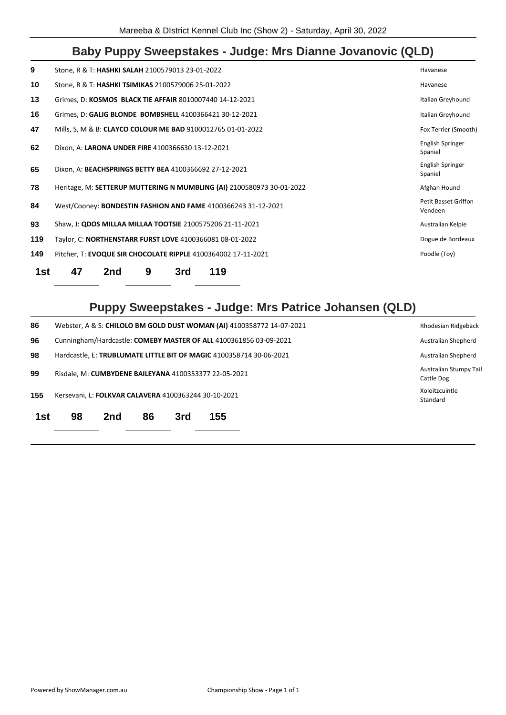### **Baby Puppy Sweepstakes - Judge: Mrs Dianne Jovanovic (QLD)**

| 1st | 47                                                  | 2nd | 9 | 3rd | 119                                                                   |                                        |
|-----|-----------------------------------------------------|-----|---|-----|-----------------------------------------------------------------------|----------------------------------------|
| 149 |                                                     |     |   |     | Pitcher, T: EVOQUE SIR CHOCOLATE RIPPLE 4100364002 17-11-2021         | Poodle (Toy)                           |
| 119 |                                                     |     |   |     | Taylor, C: NORTHENSTARR FURST LOVE 4100366081 08-01-2022              | Dogue de Bordeaux                      |
| 93  |                                                     |     |   |     | Shaw, J: QDOS MILLAA MILLAA TOOTSIE 2100575206 21-11-2021             | Australian Kelpie                      |
| 84  |                                                     |     |   |     | West/Cooney: BONDESTIN FASHION AND FAME 4100366243 31-12-2021         | <b>Petit Basset Griffon</b><br>Vendeen |
| 78  |                                                     |     |   |     | Heritage, M: SETTERUP MUTTERING N MUMBLING (AI) 2100580973 30-01-2022 | Afghan Hound                           |
| 65  |                                                     |     |   |     | Dixon, A: BEACHSPRINGS BETTY BEA 4100366692 27-12-2021                | English Springer<br>Spaniel            |
| 62  | Dixon, A: LARONA UNDER FIRE 4100366630 13-12-2021   |     |   |     |                                                                       | English Springer<br>Spaniel            |
| 47  |                                                     |     |   |     | Mills, S, M & B: CLAYCO COLOUR ME BAD 9100012765 01-01-2022           | Fox Terrier (Smooth)                   |
| 16  |                                                     |     |   |     | Grimes, D: GALIG BLONDE BOMBSHELL 4100366421 30-12-2021               | Italian Greyhound                      |
| 13  |                                                     |     |   |     | Grimes, D: KOSMOS BLACK TIE AFFAIR 8010007440 14-12-2021              | Italian Greyhound                      |
| 10  | Stone, R & T: HASHKI TSIMIKAS 2100579006 25-01-2022 |     |   |     |                                                                       | Havanese                               |
| 9   | Stone, R & T: HASHKI SALAH 2100579013 23-01-2022    |     |   |     |                                                                       | Havanese                               |
|     |                                                     |     |   |     |                                                                       |                                        |

### **Puppy Sweepstakes - Judge: Mrs Patrice Johansen (QLD)**

| 86  |                                                      |     |    |     | Webster, A & S: CHILOLO BM GOLD DUST WOMAN (AI) 4100358772 14-07-2021 | Rhodesian Ridgeback                  |
|-----|------------------------------------------------------|-----|----|-----|-----------------------------------------------------------------------|--------------------------------------|
| 96  |                                                      |     |    |     | Cunningham/Hardcastle: COMEBY MASTER OF ALL 4100361856 03-09-2021     | Australian Shepherd                  |
| 98  |                                                      |     |    |     | Hardcastle, E: TRUBLUMATE LITTLE BIT OF MAGIC 4100358714 30-06-2021   | Australian Shepherd                  |
| 99  |                                                      |     |    |     | Risdale, M: CUMBYDENE BAILEYANA 4100353377 22-05-2021                 | Australian Stumpy Tail<br>Cattle Dog |
| 155 | Kersevani, L: FOLKVAR CALAVERA 4100363244 30-10-2021 |     |    |     |                                                                       | Xoloitzcuintle<br>Standard           |
| 1st | 98                                                   | 2nd | 86 | 3rd | 155                                                                   |                                      |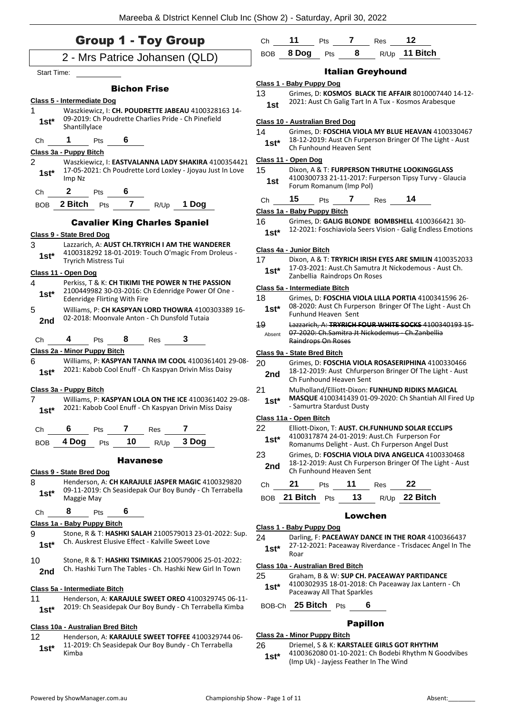| <b>Group 1 - Toy Group</b>                                                                                                     | Ch            | 11                                    | Pts | 7               | Res                      | 12                                                                                                            |
|--------------------------------------------------------------------------------------------------------------------------------|---------------|---------------------------------------|-----|-----------------|--------------------------|---------------------------------------------------------------------------------------------------------------|
| 2 - Mrs Patrice Johansen (QLD)                                                                                                 | <b>BOB</b>    | 8 Dog                                 | Pts | 8               |                          | R/Up 11 Bitch                                                                                                 |
| <b>Start Time:</b>                                                                                                             |               |                                       |     |                 | <b>Italian Greyhound</b> |                                                                                                               |
| <b>Bichon Frise</b>                                                                                                            |               | Class 1 - Baby Puppy Dog              |     |                 |                          |                                                                                                               |
| <b>Class 5 - Intermediate Dog</b><br>1<br>Waszkiewicz, I: CH. POUDRETTE JABEAU 4100328163 14-                                  | 13<br>1st     |                                       |     |                 |                          | Grimes, D: KOSMOS BLACK TIE AFFAIR 8010007440 14-12-<br>2021: Aust Ch Galig Tart In A Tux - Kosmos Arabesque  |
| 09-2019: Ch Poudrette Charlies Pride - Ch Pinefield<br>$1st*$                                                                  |               | <b>Class 10 - Australian Bred Dog</b> |     |                 |                          |                                                                                                               |
| Shantillylace                                                                                                                  | 14            |                                       |     |                 |                          | Grimes, D: FOSCHIA VIOLA MY BLUE HEAVAN 4100330467                                                            |
| 6<br>1<br>Pts<br>Ch<br>Class 3a - Puppy Bitch                                                                                  | $1st*$        | Ch Funhound Heaven Sent               |     |                 |                          | 18-12-2019: Aust Ch Furperson Bringer Of The Light - Aust                                                     |
| $\overline{2}$<br>Waszkiewicz, I: EASTVALANNA LADY SHAKIRA 4100354421                                                          |               | Class 11 - Open Dog                   |     |                 |                          |                                                                                                               |
| 17-05-2021: Ch Poudrette Lord Loxley - Jjoyau Just In Love<br>$1st*$<br>Imp Nz                                                 | 15<br>1st     | Forum Romanum (Imp Pol)               |     |                 |                          | Dixon, A & T: FURPERSON THRUTHE LOOKINGGLASS<br>4100300733 21-11-2017: Furperson Tipsy Turvy - Glaucia        |
| $\mathbf{2}$<br>Pts<br>6<br>Сh                                                                                                 | Ch            | 15                                    | Pts | 7               | Res                      | 14                                                                                                            |
| $\overline{\mathbf{r}}$<br>2 Bitch<br>1 Dog<br>Pts<br>R/Up<br><b>BOB</b>                                                       |               | Class 1a - Baby Puppy Bitch           |     |                 |                          |                                                                                                               |
| <b>Cavalier King Charles Spaniel</b>                                                                                           | 16            |                                       |     |                 |                          | Grimes, D: GALIG BLONDE BOMBSHELL 4100366421 30-                                                              |
| <b>Class 9 - State Bred Dog</b>                                                                                                | $1st*$        |                                       |     |                 |                          | 12-2021: Foschiaviola Seers Vision - Galig Endless Emotions                                                   |
| 3<br>Lazzarich, A: AUST CH.TRYRICH I AM THE WANDERER                                                                           |               | Class 4a - Junior Bitch               |     |                 |                          |                                                                                                               |
| 4100318292 18-01-2019: Touch O'magic From Droleus -<br>$1st*$<br><b>Tryrich Mistress Tui</b>                                   | 17            |                                       |     |                 |                          | Dixon, A & T: TRYRICH IRISH EYES ARE SMILIN 4100352033                                                        |
| Class 11 - Open Dog                                                                                                            | $1st^*$       | Zanbellia Raindrops On Roses          |     |                 |                          | 17-03-2021: Aust.Ch Samutra Jt Nickodemous - Aust Ch.                                                         |
| 4<br>Perkiss, T & K: CH TIKIMI THE POWER N THE PASSION                                                                         |               | Class 5a - Intermediate Bitch         |     |                 |                          |                                                                                                               |
| 2100449982 30-03-2016: Ch Edenridge Power Of One -<br>$1st*$<br><b>Edenridge Flirting With Fire</b>                            | 18            |                                       |     |                 |                          | Grimes, D: FOSCHIA VIOLA LILLA PORTIA 4100341596 26-                                                          |
| 5<br>Williams, P: CH KASPYAN LORD THOWRA 4100303389 16-                                                                        | $1st*$        | Funhund Heaven Sent                   |     |                 |                          | 08-2020: Aust Ch Furperson Bringer Of The Light - Aust Ch                                                     |
| 02-2018: Moonvale Anton - Ch Dunsfold Tutaia<br>2nd                                                                            | 19            |                                       |     |                 |                          | Lazzarich. A: TRYRICH FOUR WHITE SOCKS 4100340193 15                                                          |
| 8<br>3<br>Ch<br>4<br>Pts<br>Res                                                                                                | Absent        | Raindrops On Roses                    |     |                 |                          | 07-2020: Ch.Samitra Jt Nickodemus - Ch.Zanbellia                                                              |
| Class 2a - Minor Puppy Bitch                                                                                                   |               | Class 9a - State Bred Bitch           |     |                 |                          |                                                                                                               |
| Williams, P: KASPYAN TANNA IM COOL 4100361401 29-08-<br>6<br>2021: Kabob Cool Enuff - Ch Kaspyan Drivin Miss Daisy<br>$1st*$   | 20<br>2nd     | Ch Funhound Heaven Sent               |     |                 |                          | Grimes, D: FOSCHIA VIOLA ROSASERIPHINA 4100330466<br>18-12-2019: Aust Chfurperson Bringer Of The Light - Aust |
| Class 3a - Puppy Bitch                                                                                                         | 21            |                                       |     |                 |                          | Mulholland/Elliott-Dixon: FUNHUND RIDIKS MAGICAL                                                              |
| 7<br>Williams, P: KASPYAN LOLA ON THE ICE 4100361402 29-08-<br>2021: Kabob Cool Enuff - Ch Kaspyan Drivin Miss Daisy<br>$1st*$ | $1st*$        | - Samurtra Stardust Dusty             |     |                 |                          | MASQUE 4100341439 01-09-2020: Ch Shantiah All Fired Up                                                        |
| 7<br>7<br>6<br>Res<br>Pts                                                                                                      | 22            | Class 11a - Open Bitch                |     |                 |                          | Elliott-Dixon, T: AUST. CH.FUNHUND SOLAR ECCLIPS                                                              |
| Ch<br>3 Dog<br>4 Dog<br>10<br>Pts<br>R/Up<br><b>BOB</b>                                                                        | $1st^*$       |                                       |     |                 |                          | 4100317874 24-01-2019: Aust.Ch Furperson For                                                                  |
|                                                                                                                                | 23            |                                       |     |                 |                          | Romanums Delight - Aust. Ch Furperson Angel Dust<br>Grimes, D: FOSCHIA VIOLA DIVA ANGELICA 4100330468         |
| <b>Havanese</b><br>Class 9 - State Bred Dog                                                                                    | 2nd           | Ch Funhound Heaven Sent               |     |                 |                          | 18-12-2019: Aust Ch Furperson Bringer Of The Light - Aust                                                     |
| 8<br>Henderson, A: CH KARAJULE JASPER MAGIC 4100329820<br>09-11-2019: Ch Seasidepak Our Boy Bundy - Ch Terrabella              | Ch            | 21                                    | Pts | 11              | <b>Res</b>               | 22                                                                                                            |
| $1st^*$<br>Maggie May                                                                                                          |               | BOB 21 Bitch Pts                      |     | 13              |                          | R/Up 22 Bitch                                                                                                 |
| 8<br>6<br>Pts<br>Ch                                                                                                            |               |                                       |     | <b>Lowchen</b>  |                          |                                                                                                               |
| Class 1a - Baby Puppy Bitch                                                                                                    |               | Class 1 - Baby Puppy Dog              |     |                 |                          |                                                                                                               |
| 9<br>Stone, R & T: HASHKI SALAH 2100579013 23-01-2022: Sup.<br>Ch. Auskrest Elusive Effect - Kalville Sweet Love<br>$1st*$     | 24<br>$1st^*$ | Roar                                  |     |                 |                          | Darling, F: PACEAWAY DANCE IN THE ROAR 4100366437<br>27-12-2021: Paceaway Riverdance - Trisdacec Angel In The |
| 10<br>Stone, R & T: HASHKI TSIMIKAS 2100579006 25-01-2022:<br>Ch. Hashki Turn The Tables - Ch. Hashki New Girl In Town         |               | Class 10a - Australian Bred Bitch     |     |                 |                          |                                                                                                               |
| 2nd                                                                                                                            | 25            |                                       |     |                 |                          | Graham, B & W: SUP CH. PACEAWAY PARTIDANCE                                                                    |
| Class 5a - Intermediate Bitch                                                                                                  | $1st^*$       | Paceaway All That Sparkles            |     |                 |                          | 4100302935 18-01-2018: Ch Paceaway Jax Lantern - Ch                                                           |
| Henderson, A: KARAJULE SWEET OREO 4100329745 06-11-<br>11                                                                      |               | BOB-Ch 25 Bitch Pts                   |     |                 | 6                        |                                                                                                               |
| 2019: Ch Seasidepak Our Boy Bundy - Ch Terrabella Kimba<br>$1st^*$                                                             |               |                                       |     |                 |                          |                                                                                                               |
| Class 10a - Australian Bred Bitch                                                                                              |               |                                       |     | <b>Papillon</b> |                          |                                                                                                               |
| 12<br>Henderson, A: KARAJULE SWEET TOFFEE 4100329744 06-<br>11-2019: Ch Seasidepak Our Boy Bundy - Ch Terrabella               | 26            | Class 2a - Minor Puppy Bitch          |     |                 |                          |                                                                                                               |
| $1st*$                                                                                                                         |               |                                       |     |                 |                          | Driemel, S & K: KARSTALEE GIRLS GOT RHYTHM                                                                    |

11-2019: Ch Seasidepak Our Boy Bundy - Ch Terrabella 1st<sup>\*</sup> <sup>11-201</sup><br>Kimba

# 4100362080 01-10-2021: Ch Bodebi Rhythm N Goodvibes (Imp Uk) - Jayjess Feather In The Wind **1st\***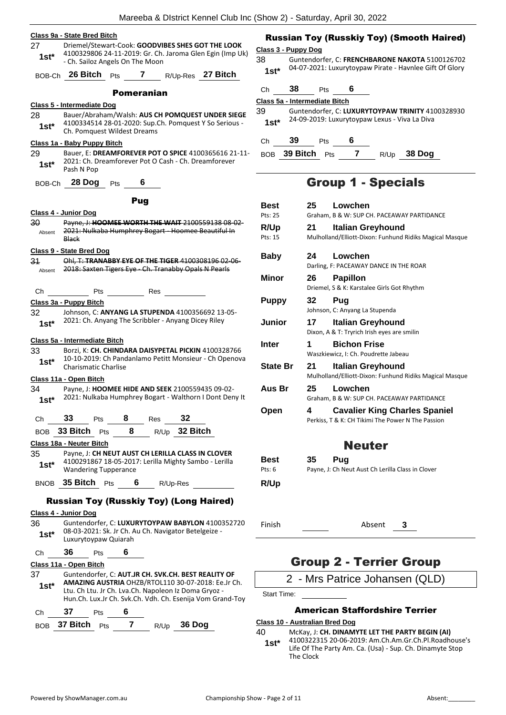### **Class 9a - State Bred Bitch** 27 Driemel/Stewart-Cook: **GOODVIBES SHES GOT THE LOOK**

4100329806 24-11-2019: Gr. Ch. Jaroma Glen Egin (Imp Uk) - Ch. Sailoz Angels On The Moon **1st\*** BOB-Ch **26 Bitch** Pts **7** R/Up-Res **27 Bitch** Pomeranian

### **Class 5 - Intermediate Dog**

28 Bauer/Abraham/Walsh: **AUS CH POMQUEST UNDER SIEGE** 4100334514 28-01-2020: Sup.Ch. Pomquest Y So Serious - **1st**\* 4100334514 28-01-2020: Sup.Ch. Pomquest Wildest Dreams

### **Class 1a - Baby Puppy Bitch**

29 Bauer, E: **DREAMFOREVER POT O SPICE** 4100365616 21-11- 2021: Ch. Dreamforever Pot O Cash - Ch. Dreamforever **1st**\* <sup>2021: Ch. D</sup><br>Pash N Pop

BOB-Ch **28 Dog** Pts **6**

#### Pug

### **Class 4 - Junior Dog**

30 Payne, J: **HOOMEE WORTH THE WAIT** 2100559138 08-02- 2021: Nulkaba Humphrey Bogart - Hoomee Beautiful In Black Absent

#### **Class 9 - State Bred Dog**

31 Ohl, T: **TRANABBY EYE OF THE TIGER** 4100308196 02-06- Absent 2018: Saxten Tigers Eye - Ch. Tranabby Opals N Pearls



### **Class 3a - Puppy Bitch**

32 Johnson, C: **ANYANG LA STUPENDA** 4100356692 13-05- 1st\* 2021: Ch. Anyang The Scribbler - Anyang Dicey Riley

### **Class 5a - Intermediate Bitch**

33 Borzi, K: **CH. CHINDARA DAISYPETAL PICKIN** 4100328766 10-10-2019: Ch Pandanlamo Petitt Monsieur - Ch Openova **1st**\* <sup>10-10-2019: Ch Pand<br>Charismatic Charlise</sup>

### **Class 11a - Open Bitch**

- 34 Payne, J: **HOOMEE HIDE AND SEEK** 2100559435 09-02- 2021: Nulkaba Humphrey Bogart - Walthorn I Dont Deny It **1st\***
- Ch **33** Pts **8** Res **32**
- BOB **33 Bitch** Pts **8** R/Up **32 Bitch**

#### **Class 18a - Neuter Bitch**

35 Payne, J: **CH NEUT AUST CH LERILLA CLASS IN CLOVER** 4100291867 18-05-2017: Lerilla Mighty Sambo - Lerilla Wandering Tupperance **1st\***

BNOB **35 Bitch** Pts **6** R/Up-Res

### Russian Toy (Russkiy Toy) (Long Haired)

### **Class 4 - Junior Dog**

- 36 Guntendorfer, C: **LUXURYTOYPAW BABYLON** 4100352720 08-03-2021: Sk. Jr Ch. Au Ch. Navigator Betelgeize - 1st<sup>\*</sup> U<sup>8-03-2021: Sk. Jr Ch. P<br>Luxurytoypaw Quiarah</sup> Ch **36** Pts **6 Class 11a - Open Bitch** 37 Guntendorfer, C: **AUT.JR CH. SVK.CH. BEST REALITY OF**
- **AMAZING AUSTRIA** OHZB/RTOL110 30-07-2018: Ee.Jr Ch. Ltu. Ch Ltu. Jr Ch. Lva.Ch. Napoleon Iz Doma Gryoz - Hun.Ch. Lux.Jr Ch. Svk.Ch. Vdh. Ch. Esenija Vom Grand-Toy **1st\***

```
Ch 37 Pts 6
```

```
BOB 37 Bitch Pts 7 R/Up 36 Dog
```
### Russian Toy (Russkiy Toy) (Smooth Haired)

### **Class 3 - Puppy Dog**

38 Guntendorfer, C: **FRENCHBARONE NAKOTA** 5100126702 04-07-2021: Luxurytoypaw Pirate - Havnlee Gift Of Glory **1st\***

### Ch **38** Pts **6**

**Class 5a - Intermediate Bitch**

39 Guntendorfer, C: **LUXURYTOYPAW TRINITY** 4100328930 24-09-2019: Luxurytoypaw Lexus - Viva La Diva **1st\***

Ch **39** Pts **6**

BOB **39 Bitch** Pts **7** R/Up **38 Dog**

### Group 1 - Specials

| Best            | 25 | Lowchen                                                                                   |
|-----------------|----|-------------------------------------------------------------------------------------------|
| Pts: 25         |    | Graham, B & W: SUP CH. PACEAWAY PARTIDANCE                                                |
| R/Up<br>Pts: 15 | 21 | Italian Greyhound<br>Mulholland/Elliott-Dixon: Funhund Ridiks Magical Masque              |
| <b>Baby</b>     | 24 | Lowchen<br>Darling, F: PACEAWAY DANCE IN THE ROAR                                         |
| Minor           | 26 | <b>Papillon</b><br>Driemel, S & K: Karstalee Girls Got Rhythm                             |
| <b>Puppy</b>    | 32 | Pug<br>Johnson, C: Anyang La Stupenda                                                     |
| Junior          | 17 | <b>Italian Greyhound</b><br>Dixon, A & T: Tryrich Irish eyes are smilin                   |
| <b>Inter</b>    | 1  | <b>Bichon Frise</b><br>Waszkiewicz, I: Ch. Poudrette Jabeau                               |
| <b>State Br</b> | 21 | <b>Italian Greyhound</b><br>Mulholland/Elliott-Dixon: Funhund Ridiks Magical Masque       |
| Aus Br          | 25 | Lowchen<br>Graham, B & W: SUP CH. PACEAWAY PARTIDANCE                                     |
| Open            | 4  | <b>Cavalier King Charles Spaniel</b><br>Perkiss, T & K: CH Tikimi The Power N The Passion |
|                 |    | <b>Neuter</b>                                                                             |
| Best<br>Pts: 6  | 35 | Pug<br>Payne, J: Ch Neut Aust Ch Lerilla Class in Clover                                  |
| R/Up            |    |                                                                                           |
| Finish          |    | Absent<br>3                                                                               |

### Group 2 - Terrier Group

2 - Mrs Patrice Johansen (QLD)

Start Time:

### American Staffordshire Terrier

### **Class 10 - Australian Bred Dog**

The Clock

40 McKay, J: **CH. DINAMYTE LET THE PARTY BEGIN (AI)** 4100322315 20-06-2019: Am.Ch.Am.Gr.Ch.Pl.Roadhouse's Life Of The Party Am. Ca. (Usa) - Sup. Ch. Dinamyte Stop **1st\***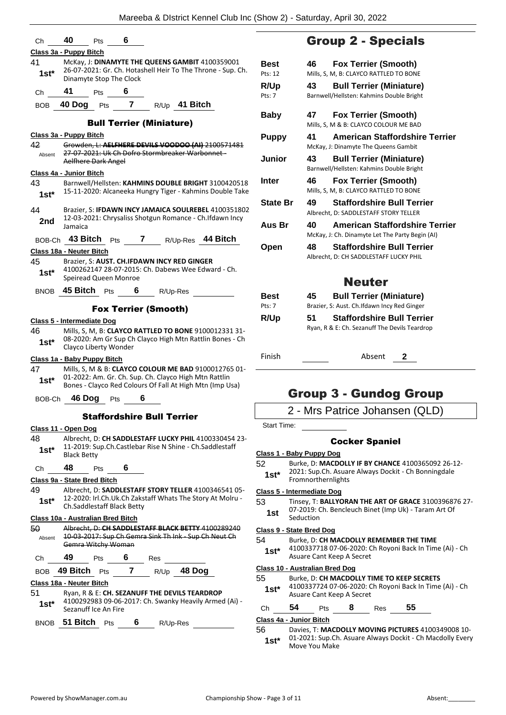|                | 40                                | <b>Pts</b>                 | 6 |                                                                                                                   |                                       |                    | <b>Group 2 - Special</b>                                                   |        |              |
|----------------|-----------------------------------|----------------------------|---|-------------------------------------------------------------------------------------------------------------------|---------------------------------------|--------------------|----------------------------------------------------------------------------|--------|--------------|
|                | Class 3a - Puppy Bitch            |                            |   |                                                                                                                   |                                       |                    |                                                                            |        |              |
| 41             |                                   |                            |   | McKay, J: DINAMYTE THE QUEENS GAMBIT 4100359001                                                                   | Best                                  | 46                 | <b>Fox Terrier (Smooth)</b>                                                |        |              |
| $1st*$         |                                   | Dinamyte Stop The Clock    |   | 26-07-2021: Gr. Ch. Hotashell Heir To The Throne - Sup. Ch.                                                       | Pts: 12                               |                    | Mills, S, M, B: CLAYCO RATTLED TO BON                                      |        |              |
|                |                                   |                            |   |                                                                                                                   | R/Up                                  | 43                 | <b>Bull Terrier (Miniatur</b>                                              |        |              |
| Ch             | 41                                | Pts                        | 6 |                                                                                                                   | Pts: 7                                |                    | Barnwell/Hellsten: Kahmins Double Brig                                     |        |              |
| <b>BOB</b>     | 40 Dog Pts                        |                            | 7 | R/Up 41 Bitch                                                                                                     |                                       |                    |                                                                            |        |              |
|                |                                   |                            |   | <b>Bull Terrier (Miniature)</b>                                                                                   | <b>Baby</b>                           | 47                 | <b>Fox Terrier (Smooth)</b><br>Mills, S, M & B: CLAYCO COLOUR ME BA        |        |              |
|                | Class 3a - Puppy Bitch            |                            |   |                                                                                                                   | <b>Puppy</b>                          | 41                 | <b>American Staffordsh</b>                                                 |        |              |
| 42             |                                   |                            |   | Growden, L: AELFHERE DEVILS VOODOO (AI) 2100571481                                                                |                                       |                    | McKay, J: Dinamyte The Queens Gambit                                       |        |              |
| Absent         |                                   | Aelfhere Dark Angel        |   | 27 07 2021: Uk Ch Dofro Stormbreaker Warbonnet-                                                                   | Junior                                | 43                 | <b>Bull Terrier (Miniatur</b>                                              |        |              |
|                | <b>Class 4a - Junior Bitch</b>    |                            |   |                                                                                                                   |                                       |                    | Barnwell/Hellsten: Kahmins Double Brig                                     |        |              |
| 43             |                                   |                            |   | Barnwell/Hellsten: KAHMINS DOUBLE BRIGHT 3100420518                                                               | Inter                                 | 46                 | <b>Fox Terrier (Smooth)</b>                                                |        |              |
| $1st*$         |                                   |                            |   | 15-11-2020: Alcaneeka Hungry Tiger - Kahmins Double Take                                                          |                                       |                    | Mills, S, M, B: CLAYCO RATTLED TO BON                                      |        |              |
|                |                                   |                            |   |                                                                                                                   | <b>State Br</b>                       | 49                 | <b>Staffordshire Bull Te</b>                                               |        |              |
| 44             |                                   |                            |   | Brazier, S: IFDAWN INCY JAMAICA SOULREBEL 4100351802<br>12-03-2021: Chrysaliss Shotgun Romance - Ch.Ifdawn Incy   |                                       |                    | Albrecht. D: SADDLESTAFF STORY TELLE                                       |        |              |
| 2nd            | Jamaica                           |                            |   |                                                                                                                   | Aus Br                                | 40                 | <b>American Staffordsh</b>                                                 |        |              |
| BOB-Ch         |                                   | <b>43 Bitch</b> $P$ ts     |   | 7 R/Up-Res 44 Bitch                                                                                               |                                       |                    | McKay, J: Ch. Dinamyte Let The Party Be                                    |        |              |
|                | Class 18a - Neuter Bitch          |                            |   |                                                                                                                   | Open                                  | 48                 | <b>Staffordshire Bull Te</b>                                               |        |              |
| 45             |                                   |                            |   | Brazier, S: AUST. CH.IFDAWN INCY RED GINGER                                                                       |                                       |                    | Albrecht, D: CH SADDLESTAFF LUCKY PH                                       |        |              |
| $1st*$         |                                   | Speiread Queen Monroe      |   | 4100262147 28-07-2015: Ch. Dabews Wee Edward - Ch.                                                                |                                       |                    |                                                                            |        |              |
|                |                                   |                            |   | 45 Bitch Pts 6 R/Up-Res                                                                                           |                                       |                    | <b>Neuter</b>                                                              |        |              |
| <b>BNOB</b>    |                                   |                            |   |                                                                                                                   | <b>Best</b>                           | 45                 | <b>Bull Terrier (Miniatur</b>                                              |        |              |
|                |                                   |                            |   | <b>Fox Terrier (Smooth)</b>                                                                                       | Pts: 7                                |                    | Brazier, S: Aust. Ch.Ifdawn Incy Red Gin                                   |        |              |
|                | Class 5 - Intermediate Dog        |                            |   |                                                                                                                   | R/Up                                  | 51                 | <b>Staffordshire Bull Te</b>                                               |        |              |
| 46             |                                   |                            |   | Mills, S, M, B: CLAYCO RATTLED TO BONE 9100012331 31-                                                             |                                       |                    | Ryan, R & E: Ch. Sezanuff The Devils Tea                                   |        |              |
| $1st*$         |                                   | Clayco Liberty Wonder      |   | 08-2020: Am Gr Sup Ch Clayco High Mtn Rattlin Bones - Ch                                                          |                                       |                    |                                                                            |        |              |
|                | Class 1a - Baby Puppy Bitch       |                            |   |                                                                                                                   | Finish                                |                    |                                                                            | Absent | $\mathbf{2}$ |
| 47             |                                   |                            |   | Mills, S, M & B: CLAYCO COLOUR ME BAD 9100012765 01-                                                              |                                       |                    |                                                                            |        |              |
| $1st*$         |                                   |                            |   | 01-2022: Am. Gr. Ch. Sup. Ch. Clayco High Mtn Rattlin<br>Bones - Clayco Red Colours Of Fall At High Mtn (Imp Usa) |                                       |                    |                                                                            |        |              |
|                |                                   |                            | 6 |                                                                                                                   |                                       |                    | Group 3 - Gundog G                                                         |        |              |
| BOB-Ch         | 46 Dog                            | Pts                        |   |                                                                                                                   |                                       |                    |                                                                            |        |              |
|                |                                   |                            |   |                                                                                                                   |                                       |                    |                                                                            |        |              |
|                |                                   |                            |   | <b>Staffordshire Bull Terrier</b>                                                                                 |                                       |                    | 2 - Mrs Patrice Johansen (                                                 |        |              |
|                | Class 11 - Open Dog               |                            |   |                                                                                                                   | Start Time:                           |                    |                                                                            |        |              |
|                |                                   |                            |   | Albrecht, D: CH SADDLESTAFF LUCKY PHIL 4100330454 23-                                                             |                                       |                    | <b>Cocker Spaniel</b>                                                      |        |              |
| $1st*$         | <b>Black Betty</b>                |                            |   | 11-2019: Sup.Ch.Castlebar Rise N Shine - Ch.Saddlestaff                                                           | Class 1 - Baby Puppy Dog              |                    |                                                                            |        |              |
|                |                                   |                            |   |                                                                                                                   | 52                                    |                    | Burke, D: MACDOLLY IF BY CHANCE 4100                                       |        |              |
| Ch             | 48                                | Pts                        | 6 |                                                                                                                   | $1st*$                                |                    | 2021: Sup.Ch. Asuare Always Dockit - Ch                                    |        |              |
|                | Class 9a - State Bred Bitch       |                            |   | Albrecht, D: SADDLESTAFF STORY TELLER 4100346541 05-                                                              |                                       | Fromnorthernlights |                                                                            |        |              |
| $1st^*$        |                                   |                            |   | 12-2020: Irl.Ch.Uk.Ch Zakstaff Whats The Story At Molru -                                                         | Class 5 - Intermediate Dog<br>53      |                    | Tinsey, T: BALLYORAN THE ART OF GRAC                                       |        |              |
|                |                                   | Ch.Saddlestaff Black Betty |   |                                                                                                                   | 1st                                   |                    | 07-2019: Ch. Bencleuch Binet (Imp Uk) -                                    |        |              |
|                | Class 10a - Australian Bred Bitch |                            |   |                                                                                                                   |                                       | Seduction          |                                                                            |        |              |
| Absent         |                                   |                            |   | Albrecht, D: CH SADDLESTAFF BLACK BETTY 4100289240<br>10-03-2017: Sup Ch Gemra Sink Th Ink - Sup Ch Neut Ch       | Class 9 - State Bred Dog              |                    |                                                                            |        |              |
|                |                                   | Gemra Witchy Woman         |   |                                                                                                                   | 54                                    |                    | Burke, D: CH MACDOLLY REMEMBER TH<br>4100337718 07-06-2020: Ch Royoni Back |        |              |
| Ch             | 49                                |                            |   | Pts 6 Res                                                                                                         | $1st^*$                               |                    | Asuare Cant Keep A Secret                                                  |        |              |
| BOB            |                                   |                            |   | 49 Bitch Pts 7 R/Up 48 Dog                                                                                        | <b>Class 10 - Australian Bred Dog</b> |                    |                                                                            |        |              |
| 48<br>49<br>50 | Class 18a - Neuter Bitch          |                            |   |                                                                                                                   | 55                                    |                    | Burke, D: CH MACDOLLY TIME TO KEEP S                                       |        |              |
|                |                                   |                            |   | Ryan, R & E: CH. SEZANUFF THE DEVILS TEARDROP                                                                     | $1st*$                                |                    | 4100337724 07-06-2020: Ch Royoni Back<br>Asuare Cant Keep A Secret         |        |              |
| $1st^*$        |                                   | Sezanuff Ice An Fire       |   | 4100292983 09-06-2017: Ch. Swanky Heavily Armed (Ai) -                                                            | 54<br>Ch                              | Pts                | 8                                                                          | Res    | 55           |
| 51             |                                   |                            |   |                                                                                                                   | Class 4a - Junior Bitch               |                    |                                                                            |        |              |
|                |                                   |                            |   | BNOB 51 Bitch Pts 6 R/Up-Res                                                                                      | 56                                    |                    | Davies, T: MACDOLLY MOVING PICTURE                                         |        |              |

### ials

| Best            | 46<br><b>FOX Terrier (SMOOTH)</b>                                                              |
|-----------------|------------------------------------------------------------------------------------------------|
| Pts: 12         | Mills, S, M, B: CLAYCO RATTLED TO BONE                                                         |
| R/Up            | <b>Bull Terrier (Miniature)</b><br>43                                                          |
| Pts: 7          | Barnwell/Hellsten: Kahmins Double Bright                                                       |
| Baby            | <b>Fox Terrier (Smooth)</b><br>47                                                              |
|                 | Mills, S, M & B: CLAYCO COLOUR ME BAD                                                          |
| <b>Puppy</b>    | <b>American Staffordshire Terrier</b><br>41<br>McKay, J: Dinamyte The Queens Gambit            |
| Junior          | <b>Bull Terrier (Miniature)</b><br>43<br>Barnwell/Hellsten: Kahmins Double Bright              |
| <b>Inter</b>    | <b>Fox Terrier (Smooth)</b><br>46<br>Mills, S, M, B: CLAYCO RATTLED TO BONE                    |
| <b>State Br</b> | <b>Staffordshire Bull Terrier</b><br>49<br>Albrecht, D: SADDLESTAFF STORY TELLER               |
| Aus Br          | <b>American Staffordshire Terrier</b><br>40<br>McKay, J: Ch. Dinamyte Let The Party Begin (AI) |
| Open            | <b>Staffordshire Bull Terrier</b><br>48<br>Albrecht, D: CH SADDLESTAFF LUCKY PHIL              |
|                 | Neuter                                                                                         |
| Best            | <b>Bull Terrier (Miniature)</b><br>45                                                          |
| Pts: 7          | Brazier, S: Aust. Ch. Ifdawn Incy Red Ginger                                                   |
| R/Up            | <b>Staffordshire Bull Terrier</b><br>51                                                        |

Is Teardrop

### **Group**

en (QLD)

- 52 Burke, D: **MACDOLLY IF BY CHANCE** 4100365092 26-12-
- Ch Bonningdale

GRACE 3100396876 27k) - Taram Art Of

**R THE TIME** 

- Back In Time (Ai) Ch
- EEP SECRETS Back In Time (Ai) - Ch
- 

| .г | $-$ | . . | 75<br>__ | נכנ |
|----|-----|-----|----------|-----|
|    |     |     |          |     |

URES 4100349008 10-01-2021: Sup.Ch. Asuare Always Dockit - Ch Macdolly Every **1st**\* 01-2021: Sup.Ch.<br>Move You Make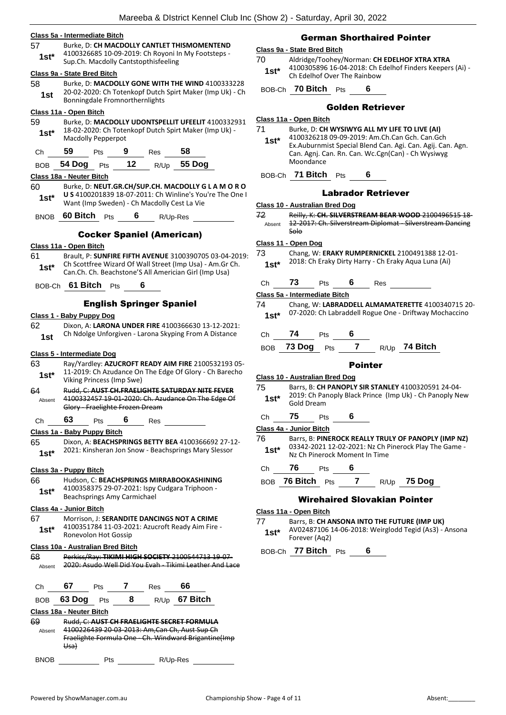**Class 5a - Intermediate Bitch** 57 Burke, D: **CH MACDOLLY CANTLET THISMOMENTEND** 4100326685 10-09-2019: Ch Royoni In My Footsteps - Sup.Ch. Macdolly Cantstopthisfeeling **1st\* Class 9a - State Bred Bitch** 58 Burke, D: **MACDOLLY GONE WITH THE WIND** 4100333228 20-02-2020: Ch Totenkopf Dutch Spirt Maker (Imp Uk) - Ch 1st 20-02-2020. CH TOLETROPI DUCTER<br>Bonningdale Fromnorthernlights **Class 11a - Open Bitch** 59 Burke, D: **MACDOLLY UDONTSPELLIT UFEELIT** 4100332931 18-02-2020: Ch Totenkopf Dutch Spirt Maker (Imp Uk) - **1st**\* 18-02-2020: Ch Tote<br>Macdolly Pepperpot Ch **59** Pts **9** Res **58** BOB **54 Dog** Pts **12** R/Up **55 Dog Class 18a - Neuter Bitch** 60 Burke, D: **NEUT.GR.CH/SUP.CH. MACDOLLY G L A M O R O U S** 4100201839 18-07-2011: Ch Winline's You're The One I Want (Imp Sweden) - Ch Macdolly Cest La Vie **1st\*** BNOB **60 Bitch** Pts **6** R/Up-Res Cocker Spaniel (American) **Class 11a - Open Bitch** 61 Brault, P: **SUNFIRE FIFTH AVENUE** 3100390705 03-04-2019: Ch Scottfree Wizard Of Wall Street (Imp Usa) - Am.Gr Ch. **1st**\* Ch. Scottfree wizard Of Wall Street (Imp Usa) - Am.Gr<br>Can.Ch. Ch. Beachstone'S All Americian Girl (Imp Usa) BOB-Ch **61 Bitch** Pts **6**

### English Springer Spaniel

#### **Class 1 - Baby Puppy Dog**

62 Dixon, A: **LARONA UNDER FIRE** 4100366630 13-12-2021: Ch Ndolge Unforgiven - Larona Skyping From A Distance **1st**

#### **Class 5 - Intermediate Dog**

|                | Class 5 - Intermediate Dog        |                    |            |                                                                                                               |
|----------------|-----------------------------------|--------------------|------------|---------------------------------------------------------------------------------------------------------------|
| 63.<br>$1st^*$ | Viking Princess (Imp Swe)         |                    |            | Ray/Yardley: AZUCROFT READY AIM FIRE 2100532193 05-<br>11-2019: Ch Azudance On The Edge Of Glory - Ch Barecho |
| 64<br>Absent   | Glory - Fraelighte Frozen Dream   |                    |            | Rudd, C: AUST CH.FRAELIGHTE SATURDAY NITE FEVER<br>4100332457 19 01 2020: Ch. Azudance On The Edge Of         |
| Ch             | 63                                | Pts $\overline{6}$ | <b>Res</b> |                                                                                                               |
|                | Class 1a - Baby Puppy Bitch       |                    |            |                                                                                                               |
| 65             |                                   |                    |            | Dixon, A: BEACHSPRINGS BETTY BEA 4100366692 27-12-                                                            |
| $1st*$         |                                   |                    |            | 2021: Kinsheran Jon Snow - Beachsprings Mary Slessor                                                          |
|                | Class 3a - Puppy Bitch            |                    |            |                                                                                                               |
| 66 —           |                                   |                    |            | Hudson, C: BEACHSPRINGS MIRRABOOKASHINING                                                                     |
| 1st*           | Beachsprings Amy Carmichael       |                    |            | 4100358375 29-07-2021: Ispy Cudgara Triphoon -                                                                |
|                | Class 4a - Junior Bitch           |                    |            |                                                                                                               |
| 67 —           |                                   |                    |            | Morrison, J: SERANDITE DANCINGS NOT A CRIME                                                                   |
| $1st^*$        | Ronevolon Hot Gossip              |                    |            | 4100351784 11-03-2021: Azucroft Ready Aim Fire -                                                              |
|                | Class 10a - Australian Bred Bitch |                    |            |                                                                                                               |
| 68<br>Absent   |                                   |                    |            | Perkiss/Ray: TIKIMI HIGH SOCIETY 2100544713 19-07-<br>2020: Asudo Well Did You Evah Tikimi Leather And Lace   |
|                | Ch 67 Pts 7                       |                    | $Res$ 66   |                                                                                                               |
|                | BOB 63 Dog Pts                    | $8^{\circ}$        |            | R/Up 67 Bitch                                                                                                 |
|                | Class 18a - Neuter Bitch          |                    |            |                                                                                                               |
| rn             |                                   |                    |            | <b>DUAL CULLER CULEDAELICUTE CECDET FODALULA</b>                                                              |

| 69     | Rudd, C: AUST CH FRAELIGHTE SECRET FORMULA           |
|--------|------------------------------------------------------|
| Absent | 4100226439 20 03 2013: Am, Can Ch, Aust Sup Ch       |
|        | Fraelighte Formula One - Ch. Windward Brigantine(Imp |
|        | Usa)                                                 |
|        |                                                      |

| <b>BNOB</b> | Pts | R/Up-Res |
|-------------|-----|----------|
|             |     |          |

### German Shorthaired Pointer

### **Class 9a - State Bred Bitch**

70 Aldridge/Toohey/Norman: **CH EDELHOF XTRA XTRA** 4100305896 16-04-2018: Ch Edelhof Finders Keepers (Ai) - Ch Edelhof Over The Rainbow **1st\***

BOB-Ch **70 Bitch** Pts **6**

### Golden Retriever

#### **Class 11a - Open Bitch**

| 71 | Burke, D: CH WYSIWYG ALL MY LIFE TO LIVE (AI) |
|----|-----------------------------------------------|
|----|-----------------------------------------------|

- 4100326218 09-09-2019: Am.Ch.Can Gch. Can.Gch Ex.Auburnmist Special Blend Can. Agi. Can. Agij. Can. Agn. Can. Agnj. Can. Rn. Can. Wc.Cgn(Can) - Ch Wysiwyg Moondance **1st\***
- BOB-Ch **71 Bitch** Pts **6**

#### Labrador Retriever

#### **Class 10 - Australian Bred Dog**

72 Reilly, K: **CH. SILVERSTREAM BEAR WOOD** 2100496515 18- 12-2017: Ch. Silverstream Diplomat - Silverstream Dancing Solo Absent

#### **Class 11 - Open Dog**

73 Chang, W: **ERAKY RUMPERNICKEL** 2100491388 12-01- 2018: Ch Eraky Dirty Harry - Ch Eraky Aqua Luna (Ai) **1st\***

### Ch **73** Pts **6** Res

**Class 5a - Intermediate Bitch**

- 74 Chang, W: **LABRADDELL ALMAMATERETTE** 4100340715 20- 07-2020: Ch Labraddell Rogue One - Driftway Mochaccino **1st\***
- Ch **74** Pts **6**

BOB **73 Dog** Pts **7** R/Up **74 Bitch**

### Pointer

### **Class 10 - Australian Bred Dog**

- 75 Barrs, B: **CH PANOPLY SIR STANLEY** 4100320591 24-04- 2019: Ch Panoply Black Prince (Imp Uk) - Ch Panoply New **1st**\* 2019: Ch Pa
- Ch **75** Pts **6**

**Class 4a - Junior Bitch**

- 76 Barrs, B: **PINEROCK REALLY TRULY OF PANOPLY (IMP NZ)** 03342-2021 12-02-2021: Nz Ch Pinerock Play The Game - **1st\*** 03342-2021 12-02-2021: Nz Ch P<br>Nz Ch Pinerock Moment In Time
- Ch **76** Pts **6**
- BOB **76 Bitch** Pts **7** R/Up **75 Dog**

### Wirehaired Slovakian Pointer

#### **Class 11a - Open Bitch**

77 Barrs, B: **CH ANSONA INTO THE FUTURE (IMP UK)** AV02487106 14-06-2018: Weirglodd Tegid (As3) - Ansona Forever (Aq2) **1st\***

BOB-Ch **77 Bitch** Pts **6**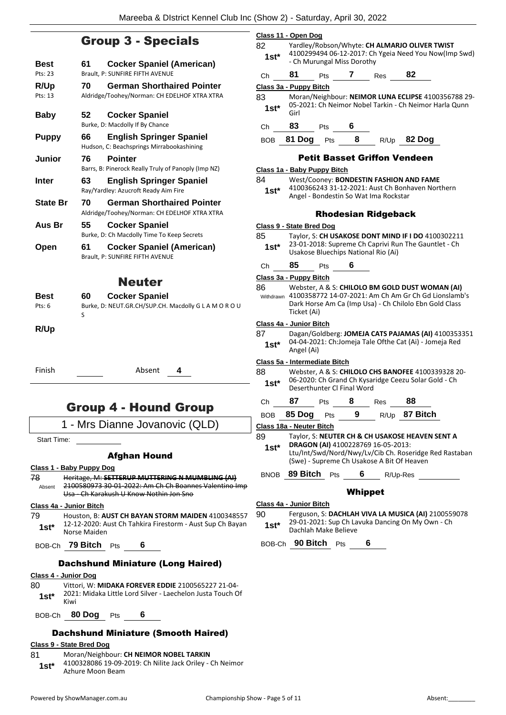### Group 3 - Specials

| Best            | 61      | <b>Cocker Spaniel (American)</b>                                                  |
|-----------------|---------|-----------------------------------------------------------------------------------|
| Pts: 23         |         | Brault, P: SUNFIRE FIFTH AVENUE                                                   |
| R/Up<br>Pts: 13 | 70      | <b>German Shorthaired Pointer</b><br>Aldridge/Toohey/Norman: CH EDELHOF XTRA XTRA |
| <b>Baby</b>     | 52      | <b>Cocker Spaniel</b><br>Burke, D: Macdolly If By Chance                          |
| <b>Puppy</b>    | 66      | <b>English Springer Spaniel</b><br>Hudson, C: Beachsprings Mirrabookashining      |
| Junior          | 76      | <b>Pointer</b><br>Barrs, B: Pinerock Really Truly of Panoply (Imp NZ)             |
| Inter           | 63      | <b>English Springer Spaniel</b><br>Ray/Yardley: Azucroft Ready Aim Fire           |
| <b>State Br</b> | 70      | <b>German Shorthaired Pointer</b><br>Aldridge/Toohey/Norman: CH EDELHOF XTRA XTRA |
|                 |         |                                                                                   |
| Aus Br          | 55      | <b>Cocker Spaniel</b><br>Burke, D: Ch Macdolly Time To Keep Secrets               |
| Open            | 61      | <b>Cocker Spaniel (American)</b><br>Brault. P: SUNFIRE FIFTH AVENUE               |
|                 |         | Neuter                                                                            |
| Best<br>Pts: 6  | 60<br>S | <b>Cocker Spaniel</b><br>Burke, D: NEUT.GR.CH/SUP.CH. Macdolly G L A M O R O U    |

Finish Absent **4**

### Group 4 - Hound Group

1 - Mrs Dianne Jovanovic (QLD)

Start Time:

### Afghan Hound

### **Class 1 - Baby Puppy Dog**

78 Heritage, M: **SETTERUP MUTTERING N MUMBLING (AI)** 2100580973 30-01-2022: Am Ch Ch Boannes Valentino Imp Usa - Ch Karakush U Know Nothin Jon Sno Absent

### **Class 4a - Junior Bitch**

79 Houston, B: **AUST CH BAYAN STORM MAIDEN** 4100348557 12-12-2020: Aust Ch Tahkira Firestorm - Aust Sup Ch Bayan 1st<sup>\*</sup> <sup>12-12-2020: A</sup><br>Norse Maiden

BOB-Ch **79 Bitch** Pts **6**

### Dachshund Miniature (Long Haired)

#### **Class 4 - Junior Dog**

80 Vittori, W: **MIDAKA FOREVER EDDIE** 2100565227 21-04- 2021: Midaka Little Lord Silver - Laechelon Justa Touch Of  $1$ st<sup>\*</sup>  $\frac{202}{KiWi}$ 

BOB-Ch **80 Dog** Pts **6**

### Dachshund Miniature (Smooth Haired)

### **Class 9 - State Bred Dog**

- 81 Moran/Neighbour: **CH NEIMOR NOBEL TARKIN** 4100328086 19-09-2019: Ch Nilite Jack Oriley - Ch Neimor
	- 1st<sup>\*</sup> 4100328086 19-09-4<br>Azhure Moon Beam

|                                     |                        |                                                                                                                                      | $-$ 200 $-$ 200 $-$ 7 $+$ 7 $-$ 100 $-$ 200 $-$ 7 $-$ 200 $-$ 200 $-$ 200 $-$ 200 $-$ 200 $-$ 200 $-$ 200 $-$ 200 $-$ 200 $-$ 200 $-$ 200 $-$ 200 $-$ 200 $-$ 200 $-$ 200 $-$ 200 $-$ 200 $-$ 200 $-$ 200 $-$ 200 $-$ 200 $-$ |      |        |  |
|-------------------------------------|------------------------|--------------------------------------------------------------------------------------------------------------------------------------|-------------------------------------------------------------------------------------------------------------------------------------------------------------------------------------------------------------------------------|------|--------|--|
|                                     | Class 11 - Open Dog    |                                                                                                                                      |                                                                                                                                                                                                                               |      |        |  |
| 82<br>$1st^*$                       |                        | Yardley/Robson/Whyte: CH ALMARJO OLIVER TWIST<br>4100299494 06-12-2017: Ch Ygeia Need You Now(Imp Swd)<br>- Ch Murungal Miss Dorothy |                                                                                                                                                                                                                               |      |        |  |
| Ch                                  | 81                     | <b>Pts</b>                                                                                                                           |                                                                                                                                                                                                                               | Res  | 82     |  |
|                                     | Class 3a - Puppy Bitch |                                                                                                                                      |                                                                                                                                                                                                                               |      |        |  |
| 83<br>$1st*$                        | Girl                   | Moran/Neighbour: NEIMOR LUNA ECLIPSE 4100356788 29-<br>05-2021: Ch Neimor Nobel Tarkin - Ch Neimor Harla Qunn                        |                                                                                                                                                                                                                               |      |        |  |
| Сh                                  | 83                     | Pts                                                                                                                                  | 6                                                                                                                                                                                                                             |      |        |  |
| <b>BOB</b>                          | 81 Dog                 | Pts                                                                                                                                  | 8                                                                                                                                                                                                                             | R/Up | 82 Doq |  |
| <b>Petit Basset Griffon Vendeen</b> |                        |                                                                                                                                      |                                                                                                                                                                                                                               |      |        |  |
| Class 1a - Baby Puppy Bitch         |                        |                                                                                                                                      |                                                                                                                                                                                                                               |      |        |  |

### Rhodesian Ridgeback

4100366243 31-12-2021: Aust Ch Bonhaven Northern

**Class 9 - State Bred Dog** 85 Taylor, S: **CH USAKOSE DONT MIND IF I DO** 4100302211 23-01-2018: Supreme Ch Caprivi Run The Gauntlet - Ch 1st\* 23-01-2018: Supreme Ch Caprivi Ru<br>Usakose Bluechips National Rio (Ai) Ch **85** Pts **6 Class 3a - Puppy Bitch** 86 Webster, A & S: **CHILOLO BM GOLD DUST WOMAN (AI)**

84 West/Cooney: **BONDESTIN FASHION AND FAME**

Angel - Bondestin So Wat Ima Rockstar **1st\***

4100358772 14-07-2021: Am Ch Am Gr Ch Gd Lionslamb's Dark Horse Am Ca (Imp Usa) - Ch Chilolo Ebn Gold Class Ticket (Ai) Withdrawn

#### **Class 4a - Junior Bitch**

87 Dagan/Goldberg: **JOMEJA CATS PAJAMAS (AI)** 4100353351 04-04-2021: Ch:Jomeja Tale Ofthe Cat (Ai) - Jomeja Red **1st**\*  $\frac{04-04-202}{\text{Angle (Ai)}}$ 

#### **Class 5a - Intermediate Bitch**

88 Webster, A & S: **CHILOLO CHS BANOFEE** 4100339328 20- 06-2020: Ch Grand Ch Kysaridge Ceezu Solar Gold - Ch **1st**\* Ub-2020: Ch Grand Ch Kysar<br>Deserthunter Cl Final Word

### Ch **87** Pts **8** Res **88**

BOB **85 Dog** Pts **9** R/Up **87 Bitch**

**Class 18a - Neuter Bitch**

- 89 Taylor, S: **NEUTER CH & CH USAKOSE HEAVEN SENT A DRAGON (AI)** 4100228769 16-05-2013: **1st\***
	- Ltu/Int/Swd/Nord/Nwy/Lv/Cib Ch. Roseridge Red Rastaban (Swe) - Supreme Ch Usakose A Bit Of Heaven

BNOB **89 Bitch** Pts **6** R/Up-Res

### Whippet

### **Class 4a - Junior Bitch**

90 Ferguson, S: **DACHLAH VIVA LA MUSICA (AI)** 2100559078 29-01-2021: Sup Ch Lavuka Dancing On My Own - Ch 1st<sup>\*</sup> <sup>29-01-2021: Sup Cn La</sup><br>Dachlah Make Believe

BOB-Ch **90 Bitch** Pts **6**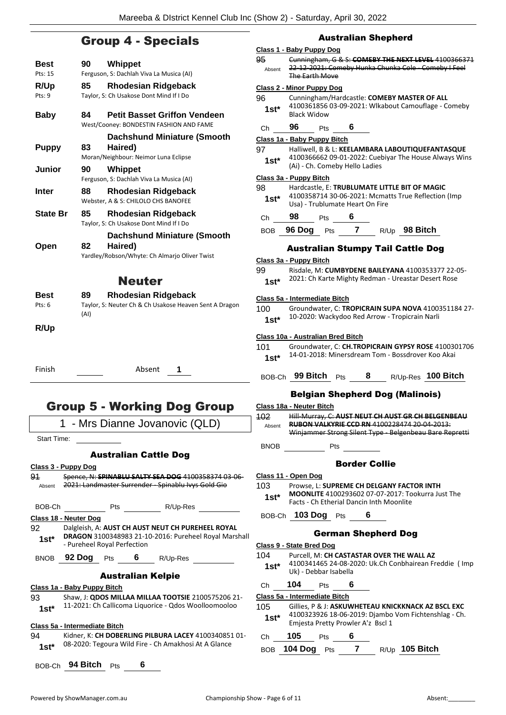### Group 4 - Specials

| Best            | Whippet<br>90                                                                                                                                     |
|-----------------|---------------------------------------------------------------------------------------------------------------------------------------------------|
| Pts: 15         | Ferguson, S: Dachlah Viva La Musica (AI)                                                                                                          |
| R/Up<br>Pts: 9  | <b>Rhodesian Ridgeback</b><br>85<br>Taylor, S: Ch Usakose Dont Mind If I Do                                                                       |
| <b>Baby</b>     | <b>Petit Basset Griffon Vendeen</b><br>84<br>West/Cooney: BONDESTIN FASHION AND FAME                                                              |
|                 | <b>Dachshund Miniature (Smooth</b>                                                                                                                |
| <b>Puppy</b>    | Haired)<br>83<br>Moran/Neighbour: Neimor Luna Eclipse                                                                                             |
| <b>Junior</b>   | Whippet<br>90<br>Ferguson, S: Dachlah Viva La Musica (AI)                                                                                         |
| Inter           | <b>Rhodesian Ridgeback</b><br>88<br>Webster, A & S: CHILOLO CHS BANOFEE                                                                           |
| <b>State Br</b> | 85<br>Rhodesian Ridgeback<br>Taylor, S: Ch Usakose Dont Mind If I Do                                                                              |
| Open            | <b>Dachshund Miniature (Smooth</b><br>Haired)<br>82<br>Yardley/Robson/Whyte: Ch Almarjo Oliver Twist                                              |
|                 | <b>Neuter</b>                                                                                                                                     |
| Best            | <b>Rhodesian Ridgeback</b><br>89                                                                                                                  |
| Pts: 6          | Taylor, S: Neuter Ch & Ch Usakose Heaven Sent A Dragon<br>(AI)                                                                                    |
| R/Up            |                                                                                                                                                   |
| Finish          | Absent<br>1                                                                                                                                       |
|                 | <b>Group 5 - Working Dog Group</b>                                                                                                                |
|                 | - Mrs Dianne Jovanovic (QLD)<br>1                                                                                                                 |
| Start Time:     |                                                                                                                                                   |
|                 | <b>Australian Cattle Dog</b>                                                                                                                      |
| 91<br>Absent    | Class 3 - Puppy Dog<br>Spence, N: SPINABLU SALTY SEA DOG 4100358374 03-06-<br>2021: Landmaster Surrender - Spinablu Ivys Gold Gio                 |
| BOB-Ch          |                                                                                                                                                   |
|                 | Class 18 - Neuter Dog                                                                                                                             |
| 92.<br>$1st^*$  | Dalgleish, A: AUST CH AUST NEUT CH PUREHEEL ROYAL<br>DRAGON 3100348983 21-10-2016: Pureheel Royal Marshall<br>- Pureheel Royal Perfection         |
|                 | BNOB 92 Dog Pts 6 R/Up-Res                                                                                                                        |
|                 | <b>Australian Kelpie</b>                                                                                                                          |
| 93<br>$1st^*$   | <u> Class 1a - Baby Puppy Bitch</u><br>Shaw, J: QDOS MILLAA MILLAA TOOTSIE 2100575206 21-<br>11-2021: Ch Callicoma Liquorice - Qdos Woolloomooloo |
|                 | Class 5a - Intermediate Bitch                                                                                                                     |
| 94<br>$1st^*$   | Kidner, K: CH DOBERLING PILBURA LACEY 4100340851 01-<br>08-2020: Tegoura Wild Fire - Ch Amakhosi At A Glance                                      |
|                 | BOB-Ch 94 Bitch Pts<br>6                                                                                                                          |

### Australian Shepherd

### **Class 1 - Baby Puppy Dog**

|      |               | $-$                                                                                                     |
|------|---------------|---------------------------------------------------------------------------------------------------------|
|      | <del>95</del> | Cunningham, G & S: COMEBY THE NEXT LEVEL 4100366371                                                     |
|      | Absent        | 22-12-2021: Comeby Hunka Chunka Cole - Comeby I Feel                                                    |
|      |               | The Earth Move                                                                                          |
|      |               | Class 2 - Minor Puppy Dog                                                                               |
|      | 96            | Cunningham/Hardcastle: COMEBY MASTER OF ALL<br>4100361856 03-09-2021: Wlkabout Camouflage - Comeby      |
|      | $1st^*$       | <b>Black Widow</b>                                                                                      |
|      | Сh            | 96<br>6<br><b>Pts</b>                                                                                   |
|      |               | Class 1a - Baby Puppy Bitch                                                                             |
|      | 97            | Halliwell, B & L: KEELAMBARA LABOUTIQUEFANTASQUE                                                        |
|      | $1st^*$       | 4100366662 09-01-2022: Cuebiyar The House Always Wins<br>(Ai) - Ch. Comeby Hello Ladies                 |
|      |               | Class 3a - Puppy Bitch                                                                                  |
|      | 98            | Hardcastle, E: TRUBLUMATE LITTLE BIT OF MAGIC                                                           |
|      | $1st^*$       | 4100358714 30-06-2021: Mcmatts True Reflection (Imp<br>Usa) - Trublumate Heart On Fire                  |
|      | Ch            | 98<br>6<br><b>Pts</b>                                                                                   |
|      | BOB           | 96 Dog Pts 7 R/Up 98 Bitch                                                                              |
|      |               |                                                                                                         |
|      |               | <b>Australian Stumpy Tail Cattle Dog</b>                                                                |
|      |               | Class 3a - Puppy Bitch                                                                                  |
|      | 99            | Risdale, M: CUMBYDENE BAILEYANA 4100353377 22-05-                                                       |
|      | $1st^*$       | 2021: Ch Karte Mighty Redman - Ureastar Desert Rose                                                     |
|      |               | Class 5a - Intermediate Bitch                                                                           |
|      | 100           | Groundwater, C: TROPICRAIN SUPA NOVA 4100351184 27-                                                     |
|      | $1st^*$       | 10-2020: Wackydoo Red Arrow - Tropicrain Narli                                                          |
|      |               |                                                                                                         |
|      |               | Class 10a - Australian Bred Bitch                                                                       |
|      | 101           | Groundwater, C: CH.TROPICRAIN GYPSY ROSE 4100301706                                                     |
|      | $1st^*$       | 14-01-2018: Minersdream Tom - Bossdrover Koo Akai                                                       |
|      |               | BOB-Ch 99 Bitch Pts<br>8<br>R/Up-Res 100 Bitch                                                          |
|      |               | <b>Belgian Shepherd Dog (Malinois)</b>                                                                  |
|      |               | Class 18a - Neuter Bitch                                                                                |
|      | 102           | Hill Murray, C: AUST NEUT CH AUST GR CH BELGENBEAU                                                      |
|      | Absent        | RUBON VALKYRIE CCD RN 4100228474 20-04-2013:<br>Winjammer Strong Silent Type - Belgenbeau Bare Repretti |
|      | BNOB          | Pts                                                                                                     |
|      |               |                                                                                                         |
|      |               | <b>Border Collie</b>                                                                                    |
|      |               | Class 11 - Open Dog                                                                                     |
|      | 103           | Prowse, L: SUPREME CH DELGANY FACTOR INTH                                                               |
|      | 1st*          | <b>MOONLITE</b> 4100293602 07-07-2017: Tookurra Just The<br>Facts - Ch Etherial Dancin Inth Moonlite    |
|      |               |                                                                                                         |
|      |               | BOB-Ch 103 Dog Pts<br>6                                                                                 |
| ıall |               | <b>German Shepherd Dog</b>                                                                              |
|      |               | <u>Class 9 - State Bred Dog</u>                                                                         |
|      | 104           | Purcell, M: CH CASTASTAR OVER THE WALL AZ                                                               |
|      | $1st^*$       | 4100341465 24-08-2020: Uk.Ch Conbhairean Freddie (Imp<br>Uk) - Debbar Isabella                          |
|      | Ch            | 104<br>6<br>Pts                                                                                         |
|      |               | Class 5a - Intermediate Bitch                                                                           |
|      | 105           | Gillies, P & J: ASKUWHETEAU KNICKKNACK AZ BSCL EXC                                                      |
|      | $1st^*$       | 4100323926 18-06-2019: Djambo Vom Fichtenshlag - Ch.<br>Emjesta Pretty Prowler A'z Bscl 1               |
| 1-   | Ch            | 105<br>6<br><b>Pts</b>                                                                                  |
|      |               | <b>BOB</b> 104 Dog<br>$\mathbf{7}$<br>$R/Up$ 105 Bitch<br>Pts                                           |
|      |               |                                                                                                         |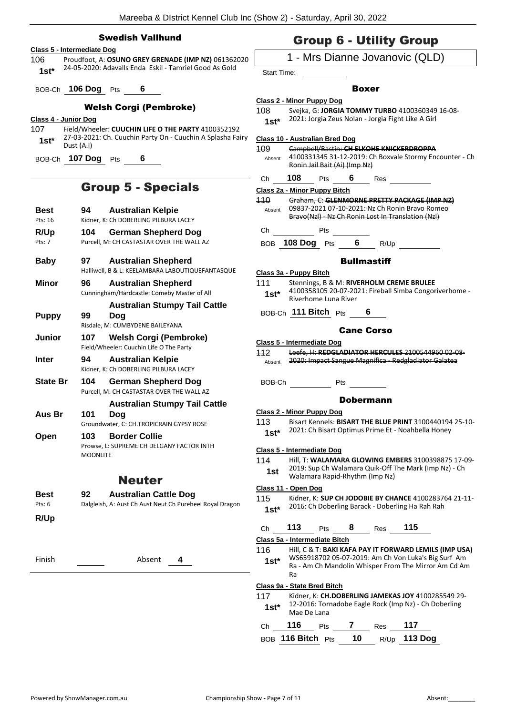### Swedish Vallhund

### **Class 5 - Intermediate Dog**

106 Proudfoot, A: **OSUNO GREY GRENADE (IMP NZ)** 061362020 24-05-2020: Adavalls Enda Eskil - Tamriel Good As Gold **1st\***

BOB-Ch **106 Dog** Pts **6**

### Welsh Corgi (Pembroke)

- **Class 4 - Junior Dog**
- 107 Field/Wheeler: **CUUCHIN LIFE O THE PARTY** 4100352192 27-03-2021: Ch. Cuuchin Party On - Cuuchin A Splasha Fairy **1st**\*  $\frac{27-03-204}{\text{Dust (A.1)}}$

BOB-Ch **107 Dog** Pts **6**

### Group 5 - Specials

| Best<br>Pts: 16 | <b>Australian Kelpie</b><br>94<br>Kidner, K: Ch DOBERLING PILBURA LACEY                                            |
|-----------------|--------------------------------------------------------------------------------------------------------------------|
| R/Up<br>Pts: 7  | 104<br><b>German Shepherd Dog</b><br>Purcell, M: CH CASTASTAR OVER THE WALL AZ                                     |
| <b>Baby</b>     | 97<br><b>Australian Shepherd</b><br>Halliwell, B & L: KEELAMBARA LABOUTIQUEFANTASQUE                               |
| Minor           | 96<br><b>Australian Shepherd</b><br>Cunningham/Hardcastle: Comeby Master of All                                    |
| <b>Puppy</b>    | <b>Australian Stumpy Tail Cattle</b><br>99<br>Doa                                                                  |
| Junior          | Risdale, M: CUMBYDENE BAILEYANA<br><b>Welsh Corgi (Pembroke)</b><br>107<br>Field/Wheeler: Cuuchin Life O The Party |
| Inter           | <b>Australian Kelpie</b><br>94<br>Kidner, K: Ch DOBERLING PILBURA LACEY                                            |
| <b>State Br</b> | 104<br><b>German Shepherd Dog</b><br>Purcell, M: CH CASTASTAR OVER THE WALL AZ                                     |
| Aus Br          | <b>Australian Stumpy Tail Cattle</b><br>101<br>Doq<br>Groundwater, C: CH.TROPICRAIN GYPSY ROSE                     |
| Open            | <b>Border Collie</b><br>103<br>Prowse, L: SUPREME CH DELGANY FACTOR INTH<br><b>MOONLITE</b>                        |
|                 | <b>Neuter</b>                                                                                                      |
| Best<br>Pts: 6  | 92<br><b>Australian Cattle Dog</b><br>Dalgleish, A: Aust Ch Aust Neut Ch Pureheel Royal Dragon                     |
| R/Up            |                                                                                                                    |
| Finish          | Absent<br>4                                                                                                        |
|                 |                                                                                                                    |
|                 |                                                                                                                    |
|                 |                                                                                                                    |

### Group 6 - Utility Group

### 1 - Mrs Dianne Jovanovic (QLD)

Start Time:

### Boxer

### **Class 2 - Minor Puppy Dog**

- 108 Svejka, G: **JORGIA TOMMY TURBO** 4100360349 16-08-
	- 2021: Jorgia Zeus Nolan Jorgia Fight Like A Girl **1st\***

**Class 10 - Australian Bred Dog**

109 Campbell/Bastin: **CH ELKOHE KNICKERDROPPA** 4100331345 31-12-2019: Ch Boxvale Stormy Encounter - Ch Ronin Jail Bait (Ai) (Imp Nz) Absent

Ch **108** Pts **6** Res

#### **Class 2a - Minor Puppy Bitch**

110 Graham, C: **GLENMORNE PRETTY PACKAGE (IMP NZ)** 09837-2021 07-10-2021: Nz Ch Ronin Bravo Romeo Bravo(Nzl) - Nz Ch Ronin Lost In Translation (Nzl) Absent

Ch Pts

BOB **108 Dog** Pts **6** R/Up

### **Bullmastiff**

| Class 3a - Puppy Bitch |                                                                                |  |  |  |
|------------------------|--------------------------------------------------------------------------------|--|--|--|
| 111                    | Stennings, B & M: RIVERHOLM CREME BRULEE                                       |  |  |  |
| $1st*$                 | 4100358105 20-07-2021: Fireball Simba Congoriverhome -<br>Riverhome Luna River |  |  |  |

BOB-Ch **111 Bitch** Pts **6**

### Cane Corso

### **Class 5 - Intermediate Dog**

112 Leefe, H: **REDGLADIATOR HERCULES** 2100544960 02-08- Absent 2020: Impact Sangue Magnifica - Redgladiator Galatea

BOB-Ch Pts

### Dobermann

**Class 2 - Minor Puppy Dog** 113 Bisart Kennels: **BISART THE BLUE PRINT** 3100440194 25-10- 2021: Ch Bisart Optimus Prime Et - Noahbella Honey **1st\***

### **Class 5 - Intermediate Dog**

114 Hill, T: **WALAMARA GLOWING EMBERS** 3100398875 17-09- 2019: Sup Ch Walamara Quik-Off The Mark (Imp Nz) - Ch Walamara Rapid-Rhythm (Imp Nz) **1st**

### **Class 11 - Open Dog**

115 Kidner, K: **SUP CH JODOBIE BY CHANCE** 4100283764 21-11- 1st\* 2016: Ch Doberling Barack - Doberling Ha Rah Rah

Ch **113** Pts **8** Res **115**

**Class 5a - Intermediate Bitch**

116 Hill, C & T: **BAKI KAFA PAY IT FORWARD LEMILS (IMP USA)** WS65918702 05-07-2019: Am Ch Von Luka's Big Surf Am Ra - Am Ch Mandolin Whisper From The Mirror Am Cd Am Ra **1st\***

### **Class 9a - State Bred Bitch**

117 Kidner, K: **CH.DOBERLING JAMEKAS JOY** 4100285549 29- 12-2016: Tornadobe Eagle Rock (Imp Nz) - Ch Doberling Mae De Lana **1st\***

| Ch | 116               | <b>Pts</b> |      | Res | 117                 |
|----|-------------------|------------|------|-----|---------------------|
|    | BOB 116 Bitch Pts |            | - 10 |     | R/Up <b>113 Dog</b> |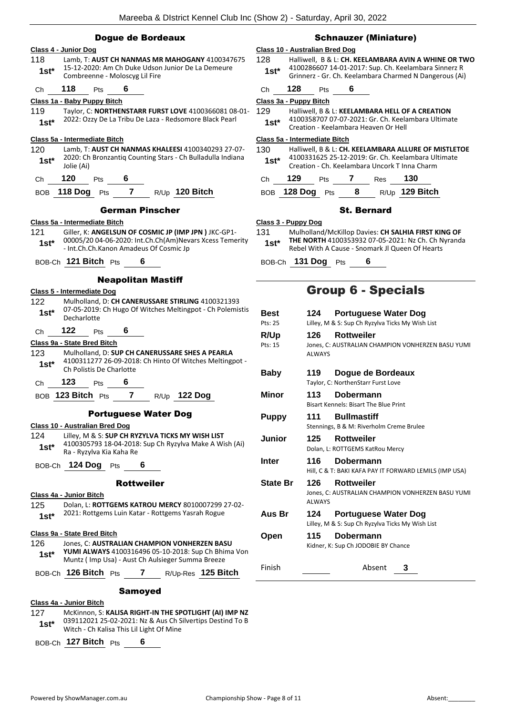| Class 10 - Australian Bred Dog                                                                                  |                                                                                                                                                                                                                                                                                                                                                                                                                                                                                                                                                            |
|-----------------------------------------------------------------------------------------------------------------|------------------------------------------------------------------------------------------------------------------------------------------------------------------------------------------------------------------------------------------------------------------------------------------------------------------------------------------------------------------------------------------------------------------------------------------------------------------------------------------------------------------------------------------------------------|
| 128                                                                                                             | Halliwell, B & L: CH. KEELAMBARA AVIN A WHINE OR TWO                                                                                                                                                                                                                                                                                                                                                                                                                                                                                                       |
| $1st*$                                                                                                          | 4100286607 14-01-2017: Sup. Ch. Keelambara Sinnerz R<br>Grinnerz - Gr. Ch. Keelambara Charmed N Dangerous (Ai)                                                                                                                                                                                                                                                                                                                                                                                                                                             |
| 128<br>Ch                                                                                                       | -6<br>Pts                                                                                                                                                                                                                                                                                                                                                                                                                                                                                                                                                  |
| Class 3a - Puppy Bitch                                                                                          |                                                                                                                                                                                                                                                                                                                                                                                                                                                                                                                                                            |
| 129<br>$1st*$                                                                                                   | Halliwell, B & L: KEELAMBARA HELL OF A CREATION<br>4100358707 07-07-2021: Gr. Ch. Keelambara Ultimate<br>Creation - Keelambara Heaven Or Hell                                                                                                                                                                                                                                                                                                                                                                                                              |
| Class 5a - Intermediate Bitch                                                                                   |                                                                                                                                                                                                                                                                                                                                                                                                                                                                                                                                                            |
| 130<br>$1st^*$                                                                                                  | Halliwell, B & L: CH. KEELAMBARA ALLURE OF MISTLETOE<br>4100331625 25-12-2019: Gr. Ch. Keelambara Ultimate<br>Creation - Ch. Keelambara Uncork T Inna Charm                                                                                                                                                                                                                                                                                                                                                                                                |
|                                                                                                                 | 130<br>Pts<br>7<br>Res                                                                                                                                                                                                                                                                                                                                                                                                                                                                                                                                     |
|                                                                                                                 | BOB 128 Dog Pts 8 R/Up 129 Bitch                                                                                                                                                                                                                                                                                                                                                                                                                                                                                                                           |
|                                                                                                                 | <b>St. Bernard</b>                                                                                                                                                                                                                                                                                                                                                                                                                                                                                                                                         |
|                                                                                                                 |                                                                                                                                                                                                                                                                                                                                                                                                                                                                                                                                                            |
|                                                                                                                 | Mulholland/McKillop Davies: CH SALHIA FIRST KING OF                                                                                                                                                                                                                                                                                                                                                                                                                                                                                                        |
| $1st^*$                                                                                                         | THE NORTH 4100353932 07-05-2021: Nz Ch. Ch Nyranda<br>Rebel With A Cause - Snomark Jl Queen Of Hearts                                                                                                                                                                                                                                                                                                                                                                                                                                                      |
| BOB-Ch 131 Dog Pts                                                                                              | 6                                                                                                                                                                                                                                                                                                                                                                                                                                                                                                                                                          |
|                                                                                                                 |                                                                                                                                                                                                                                                                                                                                                                                                                                                                                                                                                            |
|                                                                                                                 | <b>Group 6 - Specials</b>                                                                                                                                                                                                                                                                                                                                                                                                                                                                                                                                  |
| <b>Best</b>                                                                                                     | <b>Portuguese Water Dog</b><br>124<br>Lilley, M & S: Sup Ch Ryzylva Ticks My Wish List                                                                                                                                                                                                                                                                                                                                                                                                                                                                     |
|                                                                                                                 | <b>Rottweiler</b><br>126                                                                                                                                                                                                                                                                                                                                                                                                                                                                                                                                   |
|                                                                                                                 | Jones, C: AUSTRALIAN CHAMPION VONHERZEN BASU YUMI                                                                                                                                                                                                                                                                                                                                                                                                                                                                                                          |
|                                                                                                                 | <b>ALWAYS</b>                                                                                                                                                                                                                                                                                                                                                                                                                                                                                                                                              |
| <b>Baby</b>                                                                                                     | 119<br>Dogue de Bordeaux<br>Taylor, C: NorthenStarr Furst Love                                                                                                                                                                                                                                                                                                                                                                                                                                                                                             |
|                                                                                                                 | 113<br>Dobermann                                                                                                                                                                                                                                                                                                                                                                                                                                                                                                                                           |
|                                                                                                                 | Bisart Kennels: Bisart The Blue Print                                                                                                                                                                                                                                                                                                                                                                                                                                                                                                                      |
| <b>Puppy</b>                                                                                                    | 111<br><b>Bullmastiff</b>                                                                                                                                                                                                                                                                                                                                                                                                                                                                                                                                  |
|                                                                                                                 | Stennings, B & M: Riverholm Creme Brulee                                                                                                                                                                                                                                                                                                                                                                                                                                                                                                                   |
| Junior                                                                                                          | 125<br><b>Rottweiler</b><br>Dolan, L: ROTTGEMS KatRou Mercy                                                                                                                                                                                                                                                                                                                                                                                                                                                                                                |
| <b>Inter</b>                                                                                                    | 116<br>Dobermann<br>Hill, C & T: BAKI KAFA PAY IT FORWARD LEMILS (IMP USA)                                                                                                                                                                                                                                                                                                                                                                                                                                                                                 |
| <b>State Br</b>                                                                                                 | <b>Rottweiler</b><br>126                                                                                                                                                                                                                                                                                                                                                                                                                                                                                                                                   |
|                                                                                                                 | Jones, C: AUSTRALIAN CHAMPION VONHERZEN BASU YUMI<br><b>ALWAYS</b>                                                                                                                                                                                                                                                                                                                                                                                                                                                                                         |
| Aus Br                                                                                                          | 124<br><b>Portuguese Water Dog</b>                                                                                                                                                                                                                                                                                                                                                                                                                                                                                                                         |
|                                                                                                                 | Lilley, M & S: Sup Ch Ryzylva Ticks My Wish List                                                                                                                                                                                                                                                                                                                                                                                                                                                                                                           |
|                                                                                                                 | 115<br><b>Dobermann</b><br>Kidner, K: Sup Ch JODOBIE BY Chance                                                                                                                                                                                                                                                                                                                                                                                                                                                                                             |
| Finish                                                                                                          | Absent<br>3                                                                                                                                                                                                                                                                                                                                                                                                                                                                                                                                                |
|                                                                                                                 |                                                                                                                                                                                                                                                                                                                                                                                                                                                                                                                                                            |
|                                                                                                                 |                                                                                                                                                                                                                                                                                                                                                                                                                                                                                                                                                            |
|                                                                                                                 |                                                                                                                                                                                                                                                                                                                                                                                                                                                                                                                                                            |
| McKinnon, S: KALISA RIGHT-IN THE SPOTLIGHT (AI) IMP NZ                                                          |                                                                                                                                                                                                                                                                                                                                                                                                                                                                                                                                                            |
| 2020: Ch Bronzantiq Counting Stars - Ch Bulladulla Indiana<br>Dolan, L: ROTTGEMS KATROU MERCY 8010007299 27-02- | Lamb, T: AUST CH NANMAS MR MAHOGANY 4100347675<br>Taylor, C: NORTHENSTARR FURST LOVE 4100366081 08-01-<br>Lamb, T: AUST CH NANMAS KHALEESI 4100340293 27-07-<br>129<br>Ch<br>Class 3 - Puppy Dog<br>131<br>00005/20 04-06-2020: Int.Ch.Ch(Am)Nevars Xcess Temerity<br>07-05-2019: Ch Hugo Of Witches Meltingpot - Ch Polemistis<br>Pts: 25<br>R/Up<br>Pts: 15<br>4100311277 26-09-2018: Ch Hinto Of Witches Meltingpot -<br>Minor<br>4100305793 18-04-2018: Sup Ch Ryzylva Make A Wish (Ai)<br>Open<br>YUMI ALWAYS 4100316496 05-10-2018: Sup Ch Bhima Von |

BOB-Ch **127 Bitch** Pts **6**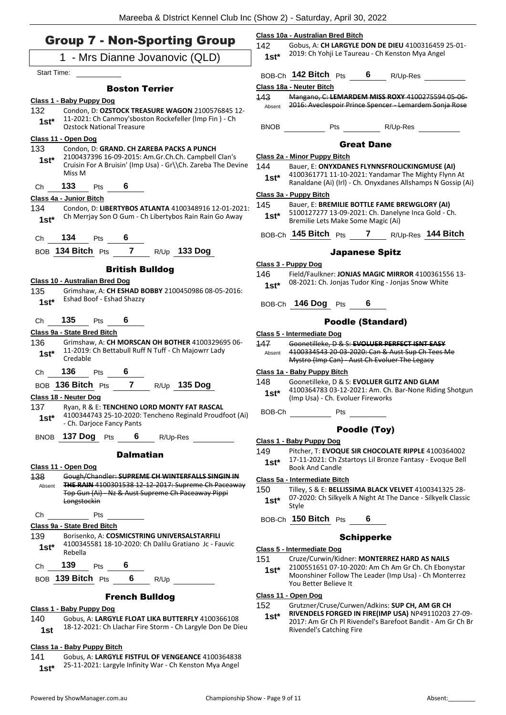**Class 10a - Australian Bred Bitch**

### Group 7 - Non-Sporting Group

| STOUP 7 - NOIT-OPOLITIIN STOUP                                                                                           | 142<br>Gobus, A: CH LARGYLE DON DE DIEU 4100316459 25-01-                                                                    |
|--------------------------------------------------------------------------------------------------------------------------|------------------------------------------------------------------------------------------------------------------------------|
| 1 - Mrs Dianne Jovanovic (QLD)                                                                                           | 2019: Ch Yohji Le Taureau - Ch Kenston Mya Angel<br>$1st*$                                                                   |
| Start Time:                                                                                                              | BOB-Ch 142 Bitch Pts<br>$6\degree$<br>R/Up-Res                                                                               |
| <b>Boston Terrier</b>                                                                                                    | Class 18a - Neuter Bitch                                                                                                     |
| Class 1 - Baby Puppy Dog                                                                                                 | Mangano, C: LEMARDEM MISS ROXY 4100275594 05-06-<br>143                                                                      |
| 132<br>Condon, D: OZSTOCK TREASURE WAGON 2100576845 12-                                                                  | 2016: Aveclespoir Prince Spencer - Lemardem Sonja Rose<br>Absent                                                             |
| 11-2021: Ch Canmoy'sboston Rockefeller (Imp Fin) - Ch<br>$1st*$                                                          |                                                                                                                              |
| <b>Ozstock National Treasure</b>                                                                                         | BNOB Pts R/Up-Res                                                                                                            |
| Class 11 - Open Dog                                                                                                      | <b>Great Dane</b>                                                                                                            |
| 133<br>Condon, D: GRAND. CH ZAREBA PACKS A PUNCH<br>2100437396 16-09-2015: Am.Gr.Ch.Ch. Campbell Clan's                  | Class 2a - Minor Puppy Bitch                                                                                                 |
| $1st*$<br>Cruisin For A Bruisin' (Imp Usa) - Gr\\Ch. Zareba The Devine                                                   | 144<br>Bauer, E: ONYXDANES FLYNNSFROLICKINGMUSE (AI)                                                                         |
| Miss M                                                                                                                   | 4100361771 11-10-2021: Yandamar The Mighty Flynn At<br>$1st^*$                                                               |
| 133<br>6<br>Pts<br>Ch                                                                                                    | Ranaldane (Ai) (Irl) - Ch. Onyxdanes Allshamps N Gossip (Ai)                                                                 |
| Class 4a - Junior Bitch                                                                                                  | Class 3a - Puppy Bitch                                                                                                       |
| 134<br>Condon, D: LIBERTYBOS ATLANTA 4100348916 12-01-2021:                                                              | 145<br>Bauer, E: BREMILIE BOTTLE FAME BREWGLORY (AI)                                                                         |
| Ch Merrjay Son O Gum - Ch Libertybos Rain Rain Go Away<br>$1st*$                                                         | 5100127277 13-09-2021: Ch. Danelyne Inca Gold - Ch.<br>$1st*$<br>Bremilie Lets Make Some Magic (Ai)                          |
|                                                                                                                          |                                                                                                                              |
| 134<br>6<br>Pts<br>Ch                                                                                                    | BOB-Ch 145 Bitch Pts 7 R/Up-Res 144 Bitch                                                                                    |
| BOB 134 Bitch Pts 7 R/Up 133 Dog                                                                                         | <b>Japanese Spitz</b>                                                                                                        |
|                                                                                                                          | Class 3 - Puppy Dog                                                                                                          |
| <b>British Bulldog</b>                                                                                                   | 146<br>Field/Faulkner: JONJAS MAGIC MIRROR 4100361556 13-                                                                    |
| Class 10 - Australian Bred Dog                                                                                           | 08-2021: Ch. Jonjas Tudor King - Jonjas Snow White<br>$1st*$                                                                 |
| 135<br>Grimshaw, A: CH ESHAD BOBBY 2100450986 08-05-2016:<br>Eshad Boof - Eshad Shazzy                                   |                                                                                                                              |
| $1st*$                                                                                                                   | BOB-Ch 146 Dog Pts 6                                                                                                         |
| 135<br>Pts $\overline{\mathbf{6}}$<br>Ch                                                                                 | <b>Poodle (Standard)</b>                                                                                                     |
| Class 9a - State Bred Bitch                                                                                              |                                                                                                                              |
| 136<br>Grimshaw, A: CH MORSCAN OH BOTHER 4100329695 06-                                                                  | Class 5 - Intermediate Dog<br>Goonetilleke, D & S: EVOLUER PERFECT ISNT EASY<br>147                                          |
| 11-2019: Ch Bettabull Ruff N Tuff - Ch Majowrr Lady<br>$1st*$                                                            | 4100334543 20-03-2020; Can & Aust Sup Ch Tees Me<br>Absent                                                                   |
| Credable                                                                                                                 | Mystro (Imp Can) - Aust Ch Evoluer The Legacy                                                                                |
| 136<br>Pts $\overline{\mathbf{6}}$<br>Ch                                                                                 | Class 1a - Baby Puppy Bitch                                                                                                  |
| BOB 136 Bitch Pts 7 R/Up 135 Dog                                                                                         | Goonetilleke, D & S: EVOLUER GLITZ AND GLAM<br>148                                                                           |
| Class 18 - Neuter Dog                                                                                                    | 4100364783 03-12-2021: Am. Ch. Bar-None Riding Shotgun<br>$1st*$<br>(Imp Usa) - Ch. Evoluer Fireworks                        |
| 137<br>Ryan, R & E: TENCHENO LORD MONTY FAT RASCAL                                                                       |                                                                                                                              |
| 4100344743 25-10-2020: Tencheno Reginald Proudfoot (Ai)<br>$1st*$                                                        | BOB-Ch<br><b>Example 19</b> Pts                                                                                              |
| - Ch. Darjoce Fancy Pants                                                                                                | Poodle (Toy)                                                                                                                 |
| BNOB 137 Dog Pts<br>6<br>R/Up-Res                                                                                        | Class 1 - Baby Puppy Dog                                                                                                     |
|                                                                                                                          | Pitcher, T: EVOQUE SIR CHOCOLATE RIPPLE 4100364002<br>149                                                                    |
| <b>Dalmatian</b>                                                                                                         | 17-11-2021: Ch Zstartoys Lil Bronze Fantasy - Evoque Bell<br>$1st^*$                                                         |
| Class 11 - Open Dog                                                                                                      | <b>Book And Candle</b>                                                                                                       |
| Gough/Chandler: SUPREME CH WINTERFALLS SINGIN IN<br>138<br>THE RAIN 4100301538 12-12-2017: Supreme Ch Paceaway<br>Absent | Class 5a - Intermediate Bitch                                                                                                |
| Top Gun (Ai) - Nz & Aust Supreme Ch Paceaway Pippi                                                                       | Tilley, S & E: BELLISSIMA BLACK VELVET 4100341325 28-<br>150<br>07-2020: Ch Silkyelk A Night At The Dance - Silkyelk Classic |
| Longstockin                                                                                                              | $1st*$<br>Style                                                                                                              |
| Pts<br>Ch                                                                                                                | BOB-Ch 150 Bitch Pts<br>6                                                                                                    |
| Class 9a - State Bred Bitch                                                                                              |                                                                                                                              |
| 139<br>Borisenko, A: COSMICSTRING UNIVERSALSTARFILI                                                                      | <b>Schipperke</b>                                                                                                            |
| 4100345581 18-10-2020: Ch Dalilu Gratiano Jc - Fauvic<br>$1st^*$<br>Rebella                                              | Class 5 - Intermediate Dog                                                                                                   |
| 139<br>Pts<br>Ch                                                                                                         | 151<br>Cruze/Curwin/Kidner: MONTERREZ HARD AS NAILS                                                                          |
|                                                                                                                          | 2100551651 07-10-2020: Am Ch Am Gr Ch. Ch Ebonystar<br>$1st^*$<br>Moonshiner Follow The Leader (Imp Usa) - Ch Monterrez      |
| $6\overline{6}$<br>139 Bitch $P$ ts<br>R/Up<br><b>BOB</b>                                                                | You Better Believe It                                                                                                        |
| <b>French Bulldog</b>                                                                                                    | Class 11 - Open Dog                                                                                                          |
| Class 1 - Baby Puppy Dog                                                                                                 | 152<br>Grutzner/Cruse/Curwen/Adkins: SUP CH, AM GR CH                                                                        |
| Gobus, A: LARGYLE FLOAT LIKA BUTTERFLY 4100366108<br>140                                                                 | RIVENDELS FORGED IN FIRE(IMP USA) NP49110203 27-09-<br>$1st*$                                                                |
| 18-12-2021: Ch Llachar Fire Storm - Ch Largyle Don De Dieu<br>1st                                                        | 2017: Am Gr Ch Pl Rivendel's Barefoot Bandit - Am Gr Ch Br<br>Rivendel's Catching Fire                                       |
|                                                                                                                          |                                                                                                                              |
| Class 1a - Baby Puppy Bitch                                                                                              |                                                                                                                              |
| 141<br>Gobus, A: LARGYLE FISTFUL OF VENGEANCE 4100364838                                                                 |                                                                                                                              |

25-11-2021: Largyle Infinity War - Ch Kenston Mya Angel **1st\***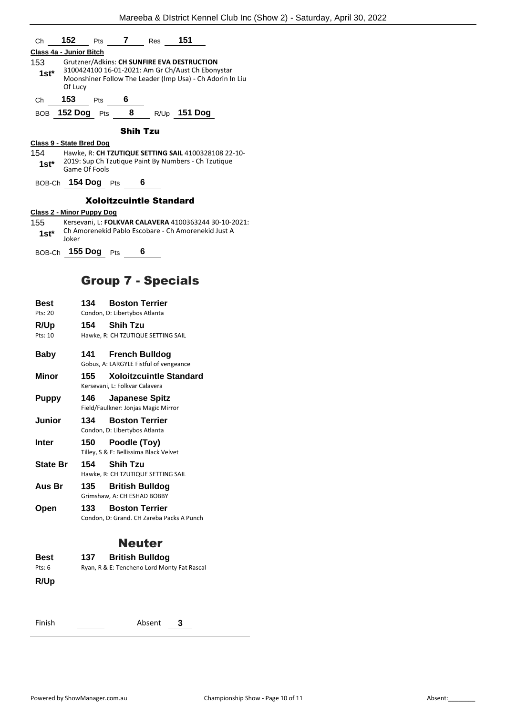| Ch                                                                            |                                |  |                      | <b>152</b> Pts <b>7</b> Res <b>151</b> |                                                                                                                                                               |  |
|-------------------------------------------------------------------------------|--------------------------------|--|----------------------|----------------------------------------|---------------------------------------------------------------------------------------------------------------------------------------------------------------|--|
|                                                                               | <b>Class 4a - Junior Bitch</b> |  |                      |                                        |                                                                                                                                                               |  |
| 1st*                                                                          | Of Lucy                        |  |                      |                                        | Grutzner/Adkins: CH SUNFIRE EVA DESTRUCTION<br>3100424100 16-01-2021: Am Gr Ch/Aust Ch Ebonystar<br>Moonshiner Follow The Leader (Imp Usa) - Ch Adorin In Liu |  |
| Ch                                                                            | 153 <sub>Pts</sub> 6           |  |                      |                                        |                                                                                                                                                               |  |
|                                                                               |                                |  |                      |                                        | BOB 152 Dog Pts 8 R/Up 151 Dog                                                                                                                                |  |
| <b>Shih Tzu</b>                                                               |                                |  |                      |                                        |                                                                                                                                                               |  |
| Class 9 - State Bred Dog                                                      |                                |  |                      |                                        |                                                                                                                                                               |  |
|                                                                               |                                |  |                      |                                        | 154 Hawke, R: CH TZUTIQUE SETTING SAIL 4100328108 22-10-                                                                                                      |  |
| 2019: Sup Ch Tzutique Paint By Numbers - Ch Tzutique<br>1st*<br>Game Of Fools |                                |  |                      |                                        |                                                                                                                                                               |  |
| BOB-Ch <b>154 Dog</b> Pts 6                                                   |                                |  |                      |                                        |                                                                                                                                                               |  |
|                                                                               | <b>Xoloitzcuintle Standard</b> |  |                      |                                        |                                                                                                                                                               |  |
| <b>Class 2 - Minor Puppy Dog</b>                                              |                                |  |                      |                                        |                                                                                                                                                               |  |
| 155 —                                                                         |                                |  |                      |                                        | Kersevani, L: FOLKVAR CALAVERA 4100363244 30-10-2021:                                                                                                         |  |
| $1st^*$                                                                       | loker                          |  |                      |                                        | Ch Amorenekid Pablo Escobare - Ch Amorenekid Just A                                                                                                           |  |
|                                                                               |                                |  | BOB-Ch 155 Dog Pts 6 |                                        |                                                                                                                                                               |  |
|                                                                               | <b>Group 7 - Specials</b>      |  |                      |                                        |                                                                                                                                                               |  |

| Best            | 134<br><b>Boston Terrier</b>                                            |
|-----------------|-------------------------------------------------------------------------|
| Pts: 20         | Condon, D: Libertybos Atlanta                                           |
| <b>R/Up</b>     | 154<br><b>Shih Tzu</b>                                                  |
| Pts: 10         | Hawke, R: CH TZUTIQUE SETTING SAIL                                      |
| <b>Baby</b>     | 141<br><b>French Bulldog</b>                                            |
|                 | Gobus, A: LARGYLE Fistful of vengeance                                  |
| Minor           | <b>Xoloitzcuintle Standard</b><br>155<br>Kersevani, L: Folkvar Calavera |
| <b>Puppy</b>    | 146<br><b>Japanese Spitz</b><br>Field/Faulkner: Jonjas Magic Mirror     |
| Junior          | <b>Boston Terrier</b><br>134<br>Condon, D: Libertybos Atlanta           |
| <b>Inter</b>    | Poodle (Toy)<br>150<br>Tilley, S & E: Bellissima Black Velvet           |
| <b>State Br</b> | <b>Shih Tzu</b><br>154                                                  |
|                 | Hawke, R: CH TZUTIQUE SETTING SAIL                                      |
| Aus Br          | 135<br><b>British Bulldog</b>                                           |
|                 | Grimshaw, A: CH ESHAD BOBBY                                             |
| Open            | <b>Boston Terrier</b><br>133.                                           |
|                 | Condon, D: Grand. CH Zareba Packs A Punch                               |
|                 | <b>Neuter</b>                                                           |
| Best            | <b>British Bulldog</b><br>137                                           |
| Pts: $6$        | Ryan, R & E: Tencheno Lord Monty Fat Rascal                             |
| <b>R/Up</b>     |                                                                         |
|                 |                                                                         |
|                 |                                                                         |
| Finish          | Absent<br>3                                                             |